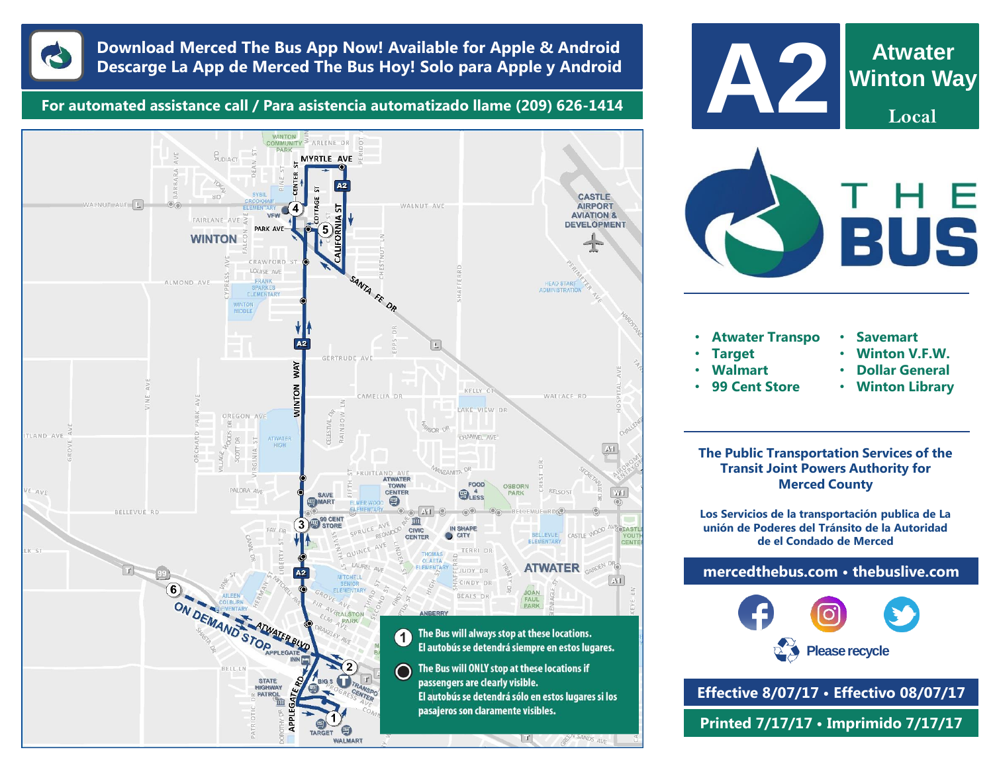

## **Download Merced The Bus App Now! Available for Apple & Android Descarge La App de Merced The Bus Hoy! Solo para Apple y Android**

**For automated assistance call / Para asistencia automatizado llame (209) 626-1414**



![](_page_0_Picture_4.jpeg)

**Transit Joint Powers Authority for Merced County**

**Los Servicios de la transportación publica de La unión de Poderes del Tránsito de la Autoridad de el Condado de Merced**

**mercedthebus.com • thebuslive.com**

![](_page_0_Picture_8.jpeg)

**Effective 8/07/17 • Effectivo 08/07/17 Printed 7/17/17 • Imprimido 7/17/17**